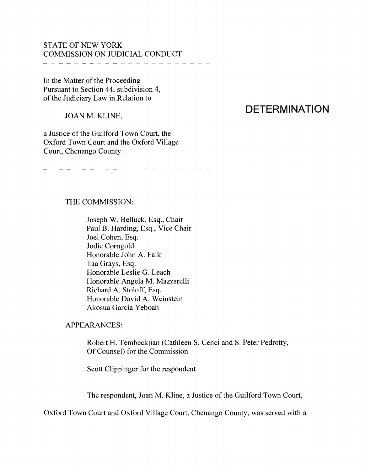## STATE OF NEW YORK COMMISSION ON JUDICIAL CONDUCT

In the Matter of the Proceeding

Pursuant to Section 44, subdivision 4, of the Judiciary Law in Relation to

JOAN M. KLINE,

a Justice of the Guilford Town Court, the Oxford Town Court and the Oxford Village Court, Chenango County.

#### 

## THE COMMISSION:

Joseph W. Belluck, Esq., Chair Paul B. Harding, Esq., Vice Chair Joel Cohen, Esq. Jodie Comgold Honorable John A. Falk Taa Grays, Esq. Honorable Leslie G. Leach Honorable Angela M. Mazzarelli Richard A. Stoloff, Esq. Honorable David A. Weinstein Akosua Garcia Yeboah

## APPEARANCES:

Robert H. Tembeckjian (Cathleen S. Cenci and S. Peter Pedrotty, Of Counsel) for the Commission

Scott Clippinger for the respondent

The respondent, Joan M. Kline, a Justice of the Guilford Town Court,

Oxford Town Court and Oxford Village Court, Chenango County, was served with a

# **DETERMINATION**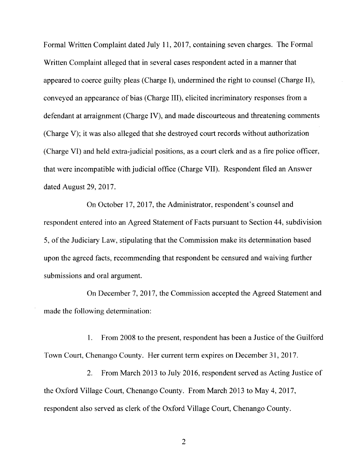Formal Written Complaint dated July 11, 2017, containing seven charges. The Formal Written Complaint alleged that in several cases respondent acted in a manner that appeared to coerce guilty pleas (Charge I), undermined the right to counsel (Charge II), conveyed an appearance of bias (Charge III), elicited incriminatory responses from a defendant at arraignment (Charge IV), and made discourteous and threatening comments (Charge V); it was also alleged that she destroyed court records without authorization (Charge VI) and held extra-judicial positions, as a court clerk and as a fire police officer, that were incompatible with judicial office (Charge VII). Respondent filed an Answer dated August 29, 2017.

On October 17, 2017, the Administrator, respondent's counsel and respondent entered into an Agreed Statement of Facts pursuant to Section 44, subdivision 5, of the Judiciary Law, stipulating that the Commission make its determination based upon the agreed facts, recommending that respondent be censured and waiving further submissions and oral argument.

On December 7, 2017, the Commission accepted the Agreed Statement and made the following determination:

1. From 2008 to the present, respondent has been a Justice of the Guilford Town Court, Chenango County. Her current term expires on December 31, 2017.

2. From March 2013 to July 2016, respondent served as Acting Justice of the Oxford Village Court, Chenango County. From March 2013 to May 4, 2017, respondent also served as clerk of the Oxford Village Court, Chenango County.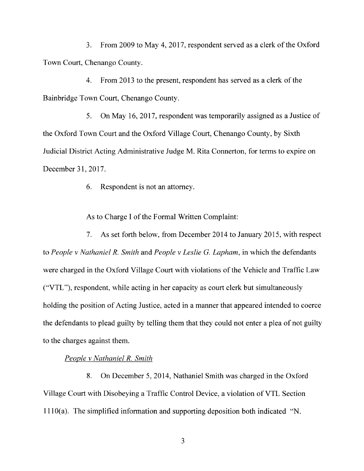3. From 2009 to May 4, 2017, respondent served as a clerk of the Oxford Town Court, Chenango County.

4. From 2013 to the present, respondent has served as a clerk of the Bainbridge Town Court, Chenango County.

5. On May 16, 2017, respondent was temporarily assigned as a Justice of the Oxford Town Court and the Oxford Village Court, Chenango County, by Sixth Judicial District Acting Administrative Judge M. Rita Connerton, for terms to expire on December 31, 2017.

6. Respondent is not an attorney.

As to Charge I of the Formal Written Complaint:

7. As set forth below, from December 2014 to January 2015, with respect to *People v Nathaniel R. Smith* and *People v Leslie* G. *Lapham,* in which the defendants were charged in the Oxford Village Court with violations of the Vehicle and Traffic Law ("VTL"), respondent, while acting in her capacity as court clerk but simultaneously holding the position of Acting Justice, acted in a manner that appeared intended to coerce the defendants to plead guilty by telling them that they could not enter a plea of not guilty to the charges against them.

## *People v Nathaniel R. Smith*

8. On December 5, 2014, Nathaniel Smith was charged in the Oxford Village Court with Disobeying a Traffic Control Device, a violation of VTL Section 1110( a). The simplified information and supporting deposition both indicated "N.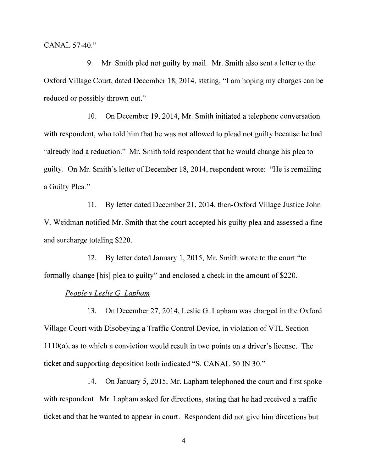CANAL 57-40."

9. Mr. Smith pled not guilty by mail. Mr. Smith also sent a letter to the Oxford Village Court, dated December 18, 2014, stating, "I am hoping my charges can be reduced or possibly thrown out."

10. On December 19, 2014, Mr. Smith initiated a telephone conversation with respondent, who told him that he was not allowed to plead not guilty because he had "already had a reduction." Mr. Smith told respondent that he would change his plea to guilty. On Mr. Smith's letter of December 18, 2014, respondent wrote: "He is remailing a Guilty Plea."

11. By letter dated December 21, 2014, then-Oxford Village Justice John V. Weidman notified Mr. Smith that the court accepted his guilty plea and assessed a fine and surcharge totaling \$220.

12. By letter dated January 1, 2015, Mr. Smith wrote to the court "to formally change [his] plea to guilty" and enclosed a check in the amount of \$220.

#### *People v Leslie* G. *Lapham*

13. On December 27, 2014, Leslie G. Lapham was charged in the Oxford Village Court with Disobeying a Traffic Control Device, in violation of YTL Section  $1110(a)$ , as to which a conviction would result in two points on a driver's license. The ticket and supporting deposition both indicated "S. CANAL 50 IN 30."

14. On January 5, 2015, Mr. Lapham telephoned the court and first spoke with respondent. Mr. Lapham asked for directions, stating that he had received a traffic ticket and that he wanted to appear in court. Respondent did not give him directions but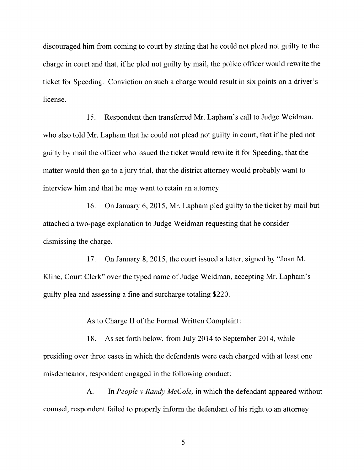discouraged him from coming to court by stating that he could not plead not guilty to the charge in court and that, if he pled not guilty by mail, the police officer would rewrite the ticket for Speeding. Conviction on such a charge would result in six points on a driver's license.

15. Respondent then transferred Mr. Lapham's call to Judge Weidman, who also told Mr. Lapham that he could not plead not guilty in court, that if he pled not guilty by mail the officer who issued the ticket would rewrite it for Speeding, that the matter would then go to a jury trial, that the district attorney would probably want to interview him and that he may want to retain an attorney.

16. On January 6, 2015, Mr. Lapham pied guilty to the ticket by mail but attached a two-page explanation to Judge Weidman requesting that he consider dismissing the charge.

17. On January 8, 2015, the court issued a letter, signed by "Joan M. Kline, Court Clerk" over the typed name of Judge Weidman, accepting Mr. Lapham's guilty plea and assessing a fine and surcharge totaling \$220.

As to Charge II of the Formal Written Complaint:

18. As set forth below, from July 2014 to September 2014, while presiding over three cases in which the defendants were each charged with at least one misdemeanor, respondent engaged in the following conduct:

A. In *People v Randy McCole,* in which the defendant appeared without counsel, respondent failed to properly inform the defendant of his right to an attorney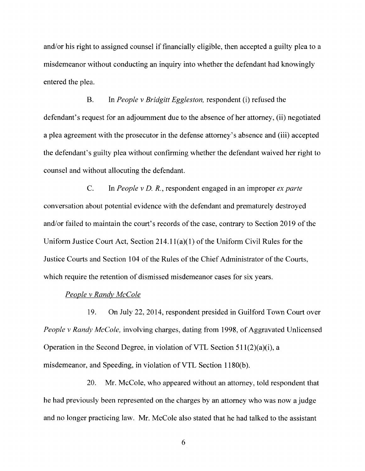and/or his right to assigned counsel if financially eligible, then accepted a guilty plea to a misdemeanor without conducting an inquiry into whether the defendant had knowingly entered the plea.

B. In *People v Bridgitt Eggleston,* respondent (i) refused the defendant's request for an adjournment due to the absence of her attorney, (ii) negotiated a plea agreement with the prosecutor in the defense attorney's absence and (iii) accepted the defendant's guilty plea without confirming whether the defendant waived her right to counsel and without allocuting the defendant.

C. In *People v D. R.,* respondent engaged in an improper *ex parte*  conversation about potential evidence with the defendant and prematurely destroyed and/or failed to maintain the court's records of the case, contrary to Section 2019 of the Uniform Justice Court Act, Section  $214.11(a)(1)$  of the Uniform Civil Rules for the Justice Courts and Section 104 of the Rules of the Chief Administrator of the Courts, which require the retention of dismissed misdemeanor cases for six years.

#### *People v Randv McCole*

19. On July 22, 2014, respondent presided in Guilford Town Court over *People v Randy McCole,* involving charges, dating from 1998, of Aggravated Unlicensed Operation in the Second Degree, in violation of VTL Section  $511(2)(a)(i)$ , a misdemeanor, and Speeding, in violation of VTL Section 1180(b).

20. Mr. McCole, who appeared without an attorney, told respondent that he had previously been represented on the charges by an attorney who was now a judge and no longer practicing law. Mr. McCole also stated that he had talked to the assistant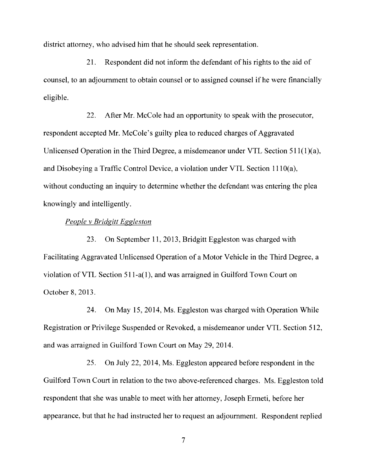district attorney, who advised him that he should seek representation.

21. Respondent did not inform the defendant of his rights to the aid of counsel, to an adjournment to obtain counsel or to assigned counsel if he were financially eligible.

22. After Mr. McCole had an opportunity to speak with the prosecutor, respondent accepted Mr. McCole's guilty plea to reduced charges of Aggravated Unlicensed Operation in the Third Degree, a misdemeanor under VTL Section  $511(1)(a)$ , and Disobeying a Traffic Control Device, a violation under VTL Section  $1110(a)$ , without conducting an inquiry to determine whether the defendant was entering the plea knowingly and intelligently.

#### *People v Bridgitt Eggleston*

23. On September 11, 2013, Bridgitt Eggleston was charged with Facilitating Aggravated Unlicensed Operation of a Motor Vehicle in the Third Degree, a violation of VTL Section 511-a(l ), and was arraigned in Guilford Town Court on October 8, 2013.

24. On May 15, 2014, Ms. Eggleston was charged with Operation While Registration or Privilege Suspended or Revoked, a misdemeanor under VTL Section 512, and was arraigned in Guilford Town Court on May 29, 2014.

25. On July 22, 2014, Ms. Eggleston appeared before respondent in the Guilford Town Court in relation to the two above-referenced charges. Ms. Eggleston told respondent that she was unable to meet with her attorney, Joseph Ermeti, before her appearance, but that he had instructed her to request an adjournment. Respondent replied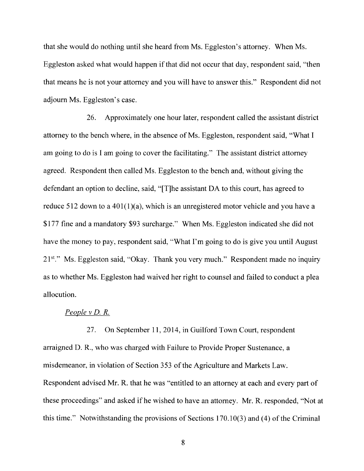that she would do nothing until she heard from Ms. Eggleston's attorney. When Ms. Eggleston asked what would happen if that did not occur that day, respondent said, "then that means he is not your attorney and you will have to answer this." Respondent did not adjourn Ms. Eggleston's case.

26. Approximately one hour later, respondent called the assistant district attorney to the bench where, in the absence of Ms. Eggleston, respondent said, "What I am going to do is I am going to cover the facilitating." The assistant district attorney agreed. Respondent then called Ms. Eggleston to the bench and, without giving the defendant an option to decline, said, "[T]he assistant DA to this court, has agreed to reduce 512 down to a  $401(1)(a)$ , which is an unregistered motor vehicle and you have a \$177 fine and a mandatory \$93 surcharge." When Ms. Eggleston indicated she did not have the money to pay, respondent said, "What I'm going to do is give you until August  $21^{st}$ ." Ms. Eggleston said, "Okay. Thank you very much." Respondent made no inquiry as to whether Ms. Eggleston had waived her right to counsel and failed to conduct a plea allocution.

#### *People v D. R.*

27. On September 11, 2014, in Guilford Town Court, respondent arraigned D.R., who was charged with Failure to Provide Proper Sustenance, a misdemeanor, in violation of Section 353 of the Agriculture and Markets Law. Respondent advised Mr. R. that he was "entitled to an attorney at each and every part of these proceedings" and asked if he wished to have an attorney. Mr. R. responded, "Not at this time." Notwithstanding the provisions of Sections  $170.10(3)$  and  $(4)$  of the Criminal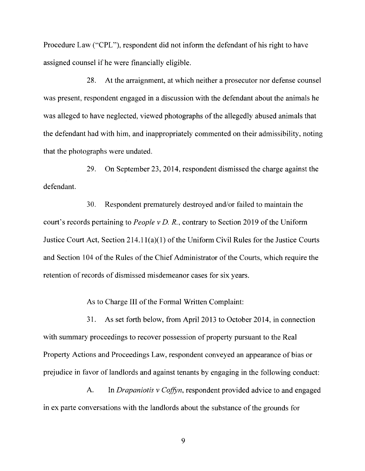Procedure Law ("CPL"), respondent did not inform the defendant of his right to have assigned counsel if he were financially eligible.

28. At the arraignment, at which neither a prosecutor nor defense counsel was present, respondent engaged in a discussion with the defendant about the animals he was alleged to have neglected, viewed photographs of the allegedly abused animals that the defendant had with him, and inappropriately commented on their admissibility, noting that the photographs were undated.

29. On September 23, 2014, respondent dismissed the charge against the defendant.

30. Respondent prematurely destroyed and/or failed to maintain the court's records pertaining to *People v D.R.,* contrary to Section 2019 of the Uniform Justice Court Act, Section 214.1 l(a)(l) of the Uniform Civil Rules for the Justice Courts and Section 104 of the Rules of the Chief Administrator of the Courts, which require the retention of records of dismissed misdemeanor cases for six years.

As to Charge III of the Formal Written Complaint:

31. As set forth below, from April 2013 to October 2014, in connection with summary proceedings to recover possession of property pursuant to the Real Property Actions and Proceedings Law, respondent conveyed an appearance of bias or prejudice in favor of landlords and against tenants by engaging in the following conduct:

A. In *Drapaniotis v Coffyn,* respondent provided advice to and engaged in ex parte conversations with the landlords about the substance of the grounds for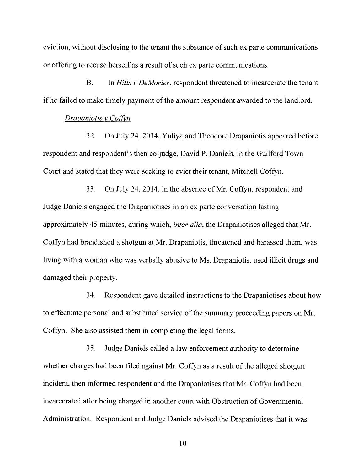eviction, without disclosing to the tenant the substance of such ex parte communications or offering to recuse herself as a result of such ex parte communications.

B. In *Hills v DeMorier,* respondent threatened to incarcerate the tenant if he failed to make timely payment of the amount respondent awarded to the landlord.

#### *Drapaniotis v Coffyn*

32. On July 24, 2014, Yuliya and Theodore Drapaniotis appeared before respondent and respondent's then co-judge, David P. Daniels, in the Guilford Town Court and stated that they were seeking to evict their tenant, Mitchell Coffyn.

33. On July 24, 2014, in the absence of Mr. Coffyn, respondent and Judge Daniels engaged the Drapaniotises in an ex parte conversation lasting approximately 45 minutes, during which, *inter alia,* the Drapaniotises alleged that Mr. Coffyn had brandished a shotgun at Mr. Drapaniotis, threatened and harassed them, was living with a woman who was verbally abusive to Ms. Drapaniotis, used illicit drugs and damaged their property.

34. Respondent gave detailed instructions to the Drapaniotises about how to effectuate personal and substituted service of the summary proceeding papers on Mr. Coffyn. She also assisted them in completing the legal forms.

35. Judge Daniels called a law enforcement authority to determine whether charges had been filed against Mr. Coffyn as a result of the alleged shotgun incident, then informed respondent and the Drapaniotises that Mr. Coffyn had been incarcerated after being charged in another court with Obstruction of Governmental Administration. Respondent and Judge Daniels advised the Drapaniotises that it was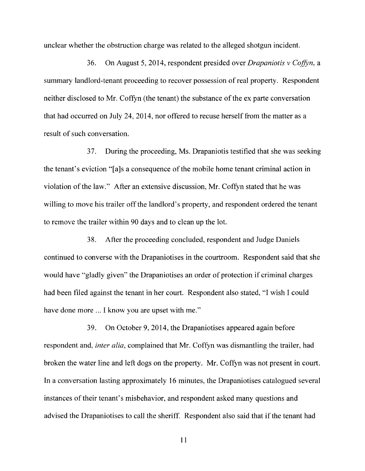unclear whether the obstruction charge was related to the alleged shotgun incident.

36. On August 5, 2014, respondent presided over *Drapaniotis v Coffen,* a summary landlord-tenant proceeding to recover possession of real property. Respondent neither disclosed to Mr. Coffyn (the tenant) the substance of the ex parte conversation that had occurred on July 24, 2014, nor offered to recuse herself from the matter as a result of such conversation.

3 7. During the proceeding, Ms. Drapaniotis testified that she was seeking the tenant's eviction "[a]s a consequence of the mobile home tenant criminal action in violation of the law." After an extensive discussion, Mr. Coffyn stated that he was willing to move his trailer off the landlord's property, and respondent ordered the tenant to remove the trailer within 90 days and to clean up the lot.

38. After the proceeding concluded, respondent and Judge Daniels continued to converse with the Drapaniotises in the courtroom. Respondent said that she would have "gladly given" the Drapaniotises an order of protection if criminal charges had been filed against the tenant in her court. Respondent also stated, "I wish I could have done more ... I know you are upset with me."

39. On October 9, 2014, the Drapaniotises appeared again before respondent and, *inter alia,* complained that Mr. Coffyn was dismantling the trailer, had broken the water line and left dogs on the property. Mr. Coffyn was not present in court. In a conversation lasting approximately 16 minutes, the Drapaniotises catalogued several instances of their tenant's misbehavior, and respondent asked many questions and advised the Drapaniotises to call the sheriff. Respondent also said that if the tenant had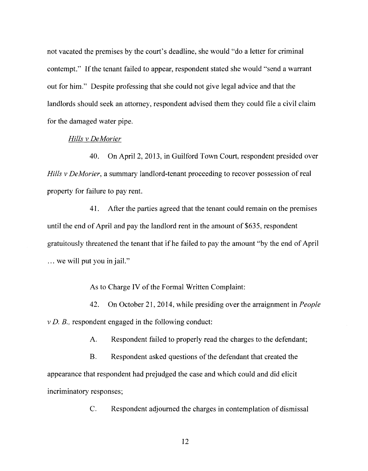not vacated the premises by the court's deadline, she would "do a letter for criminal contempt." If the tenant failed to appear, respondent stated she would "send a warrant out for him." Despite professing that she could not give legal advice and that the landlords should seek an attorney, respondent advised them they could file a civil claim for the damaged water pipe.

#### *Hills v DeMorier*

40. On April 2, 2013, in Guilford Town Court, respondent presided over *Hills v DeMorier,* a summary landlord-tenant proceeding to recover possession of real property for failure to pay rent.

41. After the parties agreed that the tenant could remain on the premises until the end of April and pay the landlord rent in the amount of \$635, respondent gratuitously threatened the tenant that if he failed to pay the amount "by the end of April ... we will put you in jail."

As to Charge IV of the Formal Written Complaint:

42. On October 21, 2014, while presiding over the arraignment in *People v D. B.,* respondent engaged in the following conduct:

A. Respondent failed to properly read the charges to the defendant;

B. Respondent asked questions of the defendant that created the appearance that respondent had prejudged the case and which could and did elicit incriminatory responses;

C. Respondent adjourned the charges in contemplation of dismissal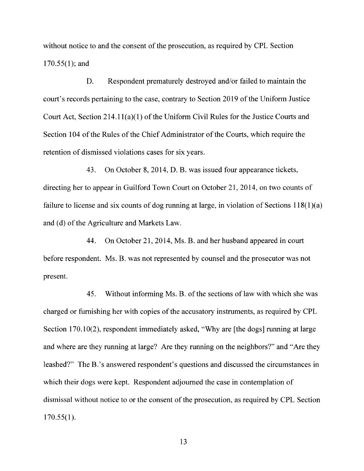without notice to and the consent of the prosecution, as required by CPL Section  $170.55(1)$ ; and

D. Respondent prematurely destroyed and/or failed to maintain the court's records pertaining to the case, contrary to Section 2019 of the Uniform Justice Court Act, Section 214.1 l(a)(l) of the Uniform Civil Rules for the Justice Courts and Section 104 of the Rules of the Chief Administrator of the Courts, which require the retention of dismissed violations cases for six years.

43. On October 8, 2014, D. B. was issued four appearance tickets, directing her to appear in Guilford Town Court on October 21, 2014, on two counts of failure to license and six counts of dog running at large, in violation of Sections  $118(1)(a)$ and (d) of the Agriculture and Markets Law.

44. On October 21, 2014, Ms. B. and her husband appeared in court before respondent. Ms. B. was not represented by counsel and the prosecutor was not present.

45. Without informing Ms. B. of the sections of law with which she was charged or furnishing her with copies of the accusatory instruments, as required by CPL Section 170.10(2), respondent immediately asked, "Why are [the dogs] running at large and where are they running at large? Are they running on the neighbors?" and "Are they leashed?" The B.'s answered respondent's questions and discussed the circumstances in which their dogs were kept. Respondent adjourned the case in contemplation of dismissal without notice to or the consent of the prosecution, as required by CPL Section  $170.55(1)$ .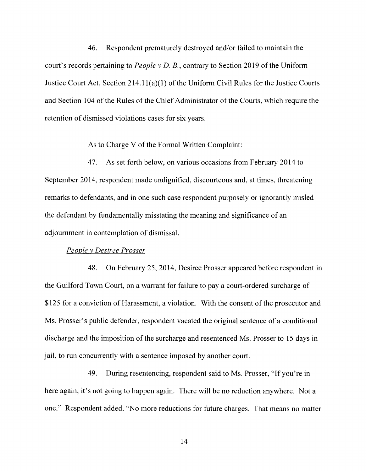46. Respondent prematurely destroyed and/or failed to maintain the court's records pertaining to *People v D. B.,* contrary to Section 2019 of the Uniform Justice Court Act, Section 214.l l(a)(l) of the Uniform Civil Rules for the Justice Courts and Section 104 of the Rules of the Chief Administrator of the Courts, which require the retention of dismissed violations cases for six years.

As to Charge V of the Formal Written Complaint:

47. As set forth below, on various occasions from February 2014 to September 2014, respondent made undignified, discourteous and, at times, threatening remarks to defendants, and in one such case respondent purposely or ignorantly misled the defendant by fundamentally misstating the meaning and significance of an adjournment in contemplation of dismissal.

#### *People v Desiree Prosser*

48. On February 25, 2014, Desiree Prosser appeared before respondent in the Guilford Town Court, on a warrant for failure to pay a court-ordered surcharge of \$125 for a conviction of Harassment, a violation. With the consent of the prosecutor and Ms. Prosser's public defender, respondent vacated the original sentence of a conditional discharge and the imposition of the surcharge and resentenced Ms. Prosser to 15 days in jail, to run concurrently with a sentence imposed by another court.

49. During resentencing, respondent said to Ms. Prosser, "If you're in here again, it's not going to happen again. There will be no reduction anywhere. Not a one." Respondent added, "No more reductions for future charges. That means no matter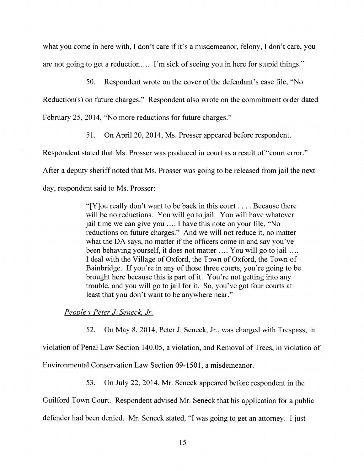what you come in here with, I don't care if it's a misdemeanor, felony, I don't care, you are not going to get a reduction.... I'm sick of seeing you in here for stupid things."

50. Respondent wrote on the cover of the defendant's case file, "No

Reduction(s) on future charges." Respondent also wrote on the commitment order dated

February 25, 2014, "No more reductions for future charges."

51. On April 20, 2014, Ms. Prosser appeared before respondent.

Respondent stated that Ms. Prosser was produced in court as a result of "court error."

After a deputy sheriff noted that Ms. Prosser was going to be released from jail the next

day, respondent said to Ms. Prosser:

"[Y] ou really don't want to be back in this court  $\dots$ . Because there will be no reductions. You will go to jail. You will have whatever jail time we can give you .... I have this note on your file, "No reductions on future charges." And we will not reduce it, no matter what the DA says, no matter if the officers come in and say you've been behaving yourself, it does not matter .... You will go to jail .... I deal with the Village of Oxford, the Town of Oxford, the Town of Bainbridge. If you're in any of those three courts, you're going to be brought here because this is part of it. You're not getting into any trouble, and you will go to jail for it. So, you've got four courts at least that you don't want to be anywhere near."

*People v Peter J. Seneck, Jr.* 

52. On May 8, 2014, Peter J. Seneck, Jr., was charged with Trespass, in

violation of Penal Law Section 140.05, a violation, and Removal of Trees, in violation of

Environmental Conservation Law Section 09-1501, a misdemeanor.

53. On July 22, 2014, Mr. Seneck appeared before respondent in the

Guilford Town Court. Respondent advised Mr. Seneck that his application for a public

defender had been denied. Mr. Seneck stated, "I was going to get an attorney. I just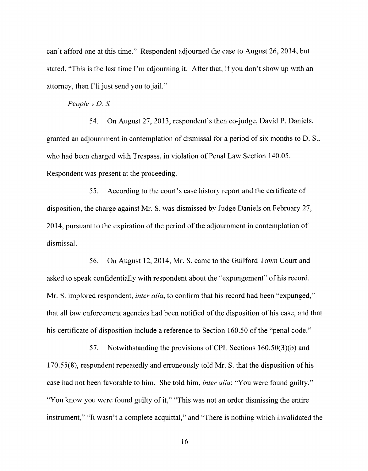can't afford one at this time." Respondent adjourned the case to August 26, 2014, but stated, "This is the last time I'm adjourning it. After that, if you don't show up with an attorney, then I'll just send you to jail."

#### *People v D.* S.

54. On August 27, 2013, respondent's then co-judge, David P. Daniels, granted an adjournment in contemplation of dismissal for a period of six months to D. S., who had been charged with Trespass, in violation of Penal Law Section 140.05. Respondent was present at the proceeding.

55. According to the court's case history report and the certificate of disposition, the charge against Mr. S. was dismissed by Judge Daniels on February 27, 2014, pursuant to the expiration of the period of the adjournment in contemplation of dismissal.

56. On August 12, 2014, Mr. S. came to the Guilford Town Court and asked to speak confidentially with respondent about the "expungement" of his record. Mr. S. implored respondent, *inter alia,* to confirm that his record had been "expunged," that all law enforcement agencies had been notified of the disposition of his case, and that his certificate of disposition include a reference to Section 160.50 of the "penal code."

57. Notwithstanding the provisions of CPL Sections 160.50(3)(b) and 170.55(8), respondent repeatedly and erroneously told Mr. S. that the disposition of his case had not been favorable to him. She told him, *inter alia:* "You were found guilty," "You know you were found guilty of it," "This was not an order dismissing the entire" instrument," "It wasn't a complete acquittal," and "There is nothing which invalidated the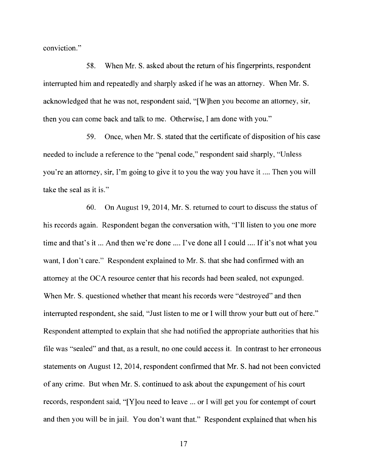conviction."

58. When Mr. S. asked about the return of his fingerprints, respondent interrupted him and repeatedly and sharply asked ifhe was an attorney. When Mr. S. acknowledged that he was not, respondent said, "[W]hen you become an attorney, sir, then you can come back and talk to me. Otherwise, I am done with you."

59. Once, when Mr. S. stated that the certificate of disposition of his case needed to include a reference to the "penal code," respondent said sharply, "Unless you're an attorney, sir, I'm going to give it to you the way you have it .... Then you will take the seal as it is."

60. On August 19, 2014, Mr. S. returned to court to discuss the status of his records again. Respondent began the conversation with, "I'll listen to you one more time and that's it ... And then we're done .... I've done all I could .... If it's not what you want, I don't care." Respondent explained to Mr. S. that she had confirmed with an attorney at the OCA resource center that his records had been sealed, not expunged. When Mr. S. questioned whether that meant his records were "destroyed" and then interrupted respondent, she said, "Just listen to me or I will throw your butt out of here." Respondent attempted to explain that she had notified the appropriate authorities that his file was "sealed" and that, as a result, no one could access it. In contrast to her erroneous statements on August 12, 2014, respondent confirmed that Mr. S. had not been convicted of any crime. But when Mr. S. continued to ask about the expungement of his court records, respondent said, "[Y]ou need to leave ... or I will get you for contempt of court and then you will be in jail. You don't want that." Respondent explained that when his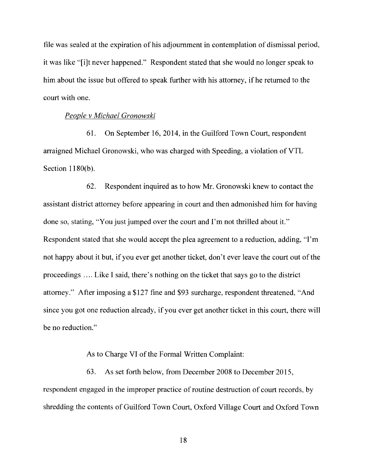file was sealed at the expiration of his adjournment in contemplation of dismissal period, it was like "[i]t never happened." Respondent stated that she would no longer speak to him about the issue but offered to speak further with his attorney, if he returned to the court with one.

#### *People v Michael Gronowski*

61. On September 16, 2014, in the Guilford Town Court, respondent arraigned Michael Gronowski, who was charged with Speeding, a violation of YTL Section 1180(b).

62. Respondent inquired as to how Mr. Gronowski knew to contact the assistant district attorney before appearing in court and then admonished him for having done so, stating, "You just jumped over the court and I'm not thrilled about it." Respondent stated that she would accept the plea agreement to a reduction, adding, "I'm not happy about it but, if you ever get another ticket, don't ever leave the court out of the proceedings .... Like I said, there's nothing on the ticket that says go to the district attorney." After imposing a \$127 fine and \$93 surcharge, respondent threatened, "And since you got one reduction already, if you ever get another ticket in this court, there will be no reduction."

#### As to Charge VI of the Formal Written Complaint:

63. As set forth below, from December 2008 to December 2015, respondent engaged in the improper practice of routine destruction of court records, by shredding the contents of Guilford Town Court, Oxford Village Court and Oxford Town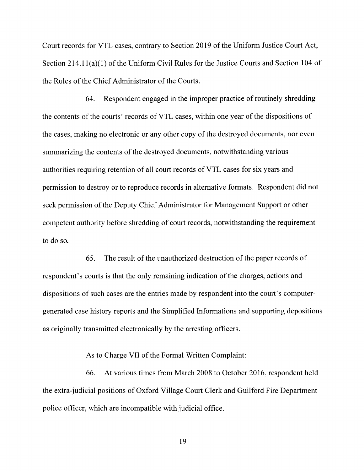Court records for YTL cases, contrary to Section 2019 of the Uniform Justice Court Act, Section 214.1 l(a)(l) of the Uniform Civil Rules for the Justice Courts and Section 104 of the Rules of the Chief Administrator of the Courts.

64. Respondent engaged in the improper practice of routinely shredding the contents of the courts' records ofVTL cases, within one year of the dispositions of the cases, making no electronic or any other copy of the destroyed documents, nor even summarizing the contents of the destroyed documents, notwithstanding various authorities requiring retention of all court records of YTL cases for six years and permission to destroy or to reproduce records in alternative formats. Respondent did not seek permission of the Deputy Chief Administrator for Management Support or other competent authority before shredding of court records, notwithstanding the requirement to do so.

65. The result of the unauthorized destruction of the paper records of respondent's courts is that the only remaining indication of the charges, actions and dispositions of such cases are the entries made by respondent into the court's computergenerated case history reports and the Simplified Informations and supporting depositions as originally transmitted electronically by the arresting officers.

#### As to Charge VII of the Formal Written Complaint:

66. At various times from March 2008 to October 2016, respondent held the extra-judicial positions of Oxford Village Court Clerk and Guilford Fire Department police officer, which are incompatible with judicial office.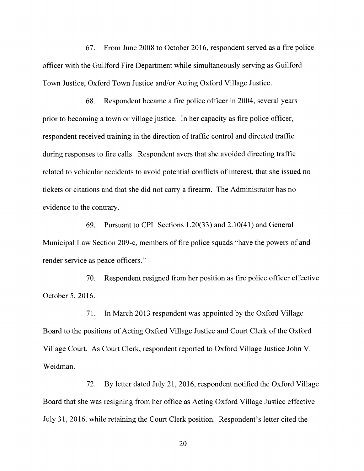67. From June 2008 to October 2016, respondent served as a fire police officer with the Guilford Fire Department while simultaneously serving as Guilford Town Justice, Oxford Town Justice and/or Acting Oxford Village Justice.

68. Respondent became a fire police officer in 2004, several years prior to becoming a town or village justice. In her capacity as fire police officer, respondent received training in the direction of traffic control and directed traffic during responses to fire calls. Respondent avers that she avoided directing traffic related to vehicular accidents to avoid potential conflicts of interest, that she issued no tickets or citations and that she did not carry a firearm. The Administrator has no evidence to the contrary.

69. Pursuant to CPL Sections 1.20(33) and 2.10(41) and General Municipal Law Section 209-c, members of fire police squads "have the powers of and render service as peace officers."

70. Respondent resigned from her position as fire police officer effective October 5, 2016.

71. In March 2013 respondent was appointed by the Oxford Village Board to the positions of Acting Oxford Village Justice and Court Clerk of the Oxford Village Court. As Court Clerk, respondent reported to Oxford Village Justice John V. Weidman.

72. By letter dated July 21, 2016, respondent notified the Oxford Village Board that she was resigning from her office as Acting Oxford Village Justice effective July 31, 2016, while retaining the Court Clerk position. Respondent's letter cited the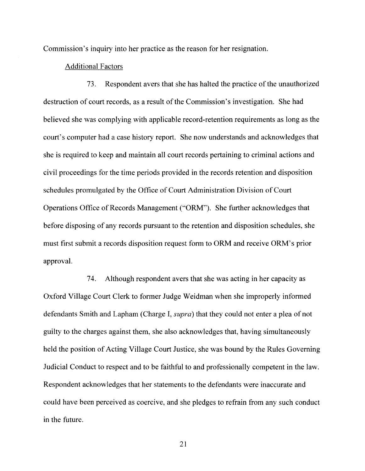Commission's inquiry into her practice as the reason for her resignation.

#### Additional Factors

73. Respondent avers that she has halted the practice of the unauthorized destruction of court records, as a result of the Commission's investigation. She had believed she was complying with applicable record-retention requirements as long as the court's computer had a case history report. She now understands and acknowledges that she is required to keep and maintain all court records pertaining to criminal actions and civil proceedings for the time periods provided in the records retention and disposition schedules promulgated by the Office of Court Administration Division of Court Operations Office of Records Management ("ORM"). She further acknowledges that before disposing of any records pursuant to the retention and disposition schedules, she must first submit a records disposition request form to ORM and receive ORM's prior approval.

74. Although respondent avers that she was acting in her capacity as Oxford Village Court Clerk to former Judge Weidman when she improperly informed defendants Smith and Lapham (Charge I, *supra)* that they could not enter a plea of not guilty to the charges against them, she also acknowledges that, having simultaneously held the position of Acting Village Court Justice, she was bound by the Rules Governing Judicial Conduct to respect and to be faithful to and professionally competent in the law. Respondent acknowledges that her statements to the defendants were inaccurate and could have been perceived as coercive, and she pledges to refrain from any such conduct in the future.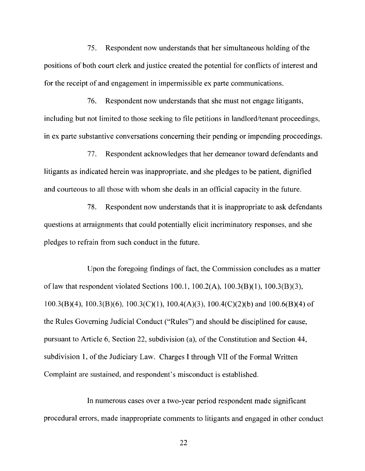75. Respondent now understands that her simultaneous holding of the positions of both court clerk and justice created the potential for conflicts of interest and for the receipt of and engagement in impermissible ex parte communications.

76. Respondent now understands that she must not engage litigants, including but not limited to those seeking to file petitions in landlord/tenant proceedings, in ex parte substantive conversations concerning their pending or impending proceedings.

77. Respondent acknowledges that her demeanor toward defendants and litigants as indicated herein was inappropriate, and she pledges to be patient, dignified and courteous to all those with whom she deals in an official capacity in the future.

78. Respondent now understands that it is inappropriate to ask defendants questions at arraignments that could potentially elicit incriminatory responses, and she pledges to refrain from such conduct in the future.

Upon the foregoing findings of fact, the Commission concludes as a matter of law that respondent violated Sections 100.1, 100.2(A), 100.3(8)(1), 100.3(B)(3), 100.3(8)(4), 100.3(8)(6), 100.3(C)(l), 100.4(A)(3), 100.4(C)(2)(b) and 100.6(B)(4) of the Rules Governing Judicial Conduct ("Rules") and should be disciplined for cause, pursuant to Article 6, Section 22, subdivision (a), of the Constitution and Section 44, subdivision 1, of the Judiciary Law. Charges I through VII of the Formal Written Complaint are sustained, and respondent's misconduct is established.

In numerous cases over a two-year period respondent made significant procedural errors, made inappropriate comments to litigants and engaged in other conduct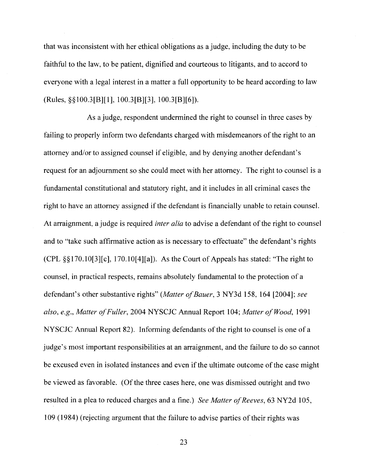that was inconsistent with her ethical obligations as a judge, including the duty to be faithful to the law, to be patient, dignified and courteous to litigants, and to accord to everyone with a legal interest in a matter a full opportunity to be heard according to law (Rules,§§ 100.3[B][l], 100.3[B][3], 100.3[B][6]).

As a judge, respondent undermined the right to counsel in three cases by failing to properly inform two defendants charged with misdemeanors of the right to an attorney and/or to assigned counsel if eligible, and by denying another defendant's request for an adjournment so she could meet with her attorney. The right to counsel is a fundamental constitutional and statutory right, and it includes in all criminal cases the right to have an attorney assigned if the defendant is financially unable to retain counsel. At arraignment, a judge is required *inter alia* to advise a defendant of the right to counsel and to "take such affirmative action as is necessary to effectuate" the defendant's rights (CPL§§ l 70.10[3][c], l 70.10[4][a]). As the Court of Appeals has stated: "The right to counsel, in practical respects, remains absolutely fundamental to the protection of a defendant's other substantive rights" *(Matter of Bauer,* 3 NY3d 158, 164 [2004]; *see also, e.g., Matter of Fuller,* 2004 NYSCJC Annual Report 104; *Matter of Wood,* 1991 NYSCJC Annual Report 82). Informing defendants of the right to counsel is one of a judge's most important responsibilities at an arraignment, and the failure to do so cannot be excused even in isolated instances and even if the ultimate outcome of the case might be viewed as favorable. (Of the three cases here, one was dismissed outright and two resulted in a plea to reduced charges and a fine.) *See Matter of Reeves*, 63 NY2d 105, 109 (1984) (rejecting argument that the failure to advise parties of their rights was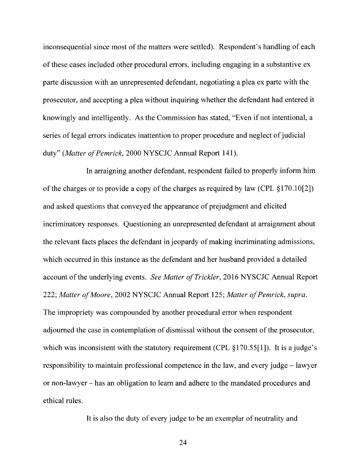inconsequential since most of the matters were settled). Respondent's handling of each of these cases included other procedural errors, including engaging in a substantive ex parte discussion with an unrepresented defendant, negotiating a plea ex parte with the prosecutor, and accepting a plea without inquiring whether the defendant had entered it knowingly and intelligently. As the Commission has stated, "Even if not intentional, a series of legal errors indicates inattention to proper procedure and neglect of judicial duty" *(Matter of Pemrick, 2000 NYSCJC Annual Report 141).* 

In arraigning another defendant, respondent failed to properly inform him of the charges or to provide a copy of the charges as required by law (CPL §170.10[2]) and asked questions that conveyed the appearance of prejudgment and elicited incriminatory responses. Questioning an unrepresented defendant at arraignment about the relevant facts places the defendant in jeopardy of making incriminating admissions, which occurred in this instance as the defendant and her husband provided a detailed account of the underlying events. *See Matter of Trickier,* 2016 NYSCJC Annual Report 222; *Matter of Moore,* 2002 NYSCJC Annual Report 125; *Matter of Pemrick, supra.*  The impropriety was compounded by another procedural error when respondent adjourned the case in contemplation of dismissal without the consent of the prosecutor, which was inconsistent with the statutory requirement (CPL §170.55[1]). It is a judge's responsibility to maintain professional competence in the law, and every judge - lawyer or non-lawyer - has an obligation to learn and adhere to the mandated procedures and ethical rules.

It is also the duty of every judge to be an exemplar of neutrality and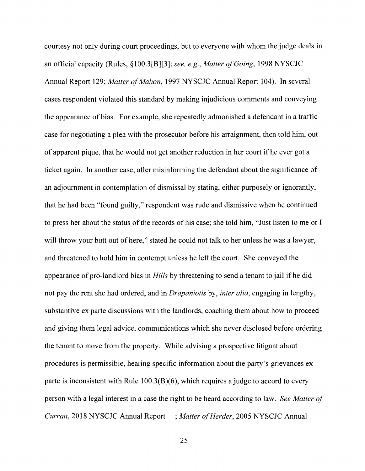courtesy not only during court proceedings, but to everyone with whom the judge deals in an official capacity (Rules, §100.3[B][3]; *see, e.g., Matter of Going,* 1998 NYSCJC Annual Report 129; *Matter of Mahon,* 1997 NYSCJC Annual Report 104). In several cases respondent violated this standard by making injudicious comments and conveying the appearance of bias. For example, she repeatedly admonished a defendant in a traffic case for negotiating a plea with the prosecutor before his arraignment, then told him, out of apparent pique, that he would not get another reduction in her court if he ever got a ticket again. In another case, after misinforming the defendant about the significance of an adjournment in contemplation of dismissal by stating, either purposely or ignorantly, that he had been "found guilty," respondent was rude and dismissive when he continued to press her about the status of the records of his case; she told him, "Just listen to me or I will throw your butt out of here," stated he could not talk to her unless he was a lawyer, and threatened to hold him in contempt unless he left the court. She conveyed the appearance of pro-landlord bias in *Hills* by threatening to send a tenant to jail ifhe did not pay the rent she had ordered, and in *Drapaniotis* by, *inter alia,* engaging in lengthy, substantive ex parte discussions with the landlords, coaching them about how to proceed and giving them legal advice, communications which she never disclosed before ordering the tenant to move from the property. While advising a prospective litigant about procedures is permissible, hearing specific information about the party's grievances ex parte is inconsistent with Rule 100.3(B)(6), which requires a judge to accord to every person with a legal interest in a case the right to be heard according to law. *See Matter of Curran,* 2018 NYSCJC Annual Report\_; *Matter of Herder,* 2005 NYSCJC Annual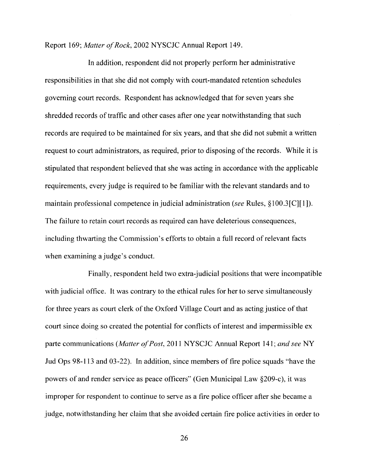Report 169; *Matter of Rock,* 2002 NYSCJC Annual Report 149.

In addition, respondent did not properly perform her administrative responsibilities in that she did not comply with court-mandated retention schedules governing court records. Respondent has acknowledged that for seven years she shredded records of traffic and other cases after one year notwithstanding that such records are required to be maintained for six years, and that she did not submit a written request to court administrators, as required, prior to disposing of the records. While it is stipulated that respondent believed that she was acting in accordance with the applicable requirements, every judge is required to be familiar with the relevant standards and to maintain professional competence in judicial administration *(see* Rules, § 100.3[C][1 ]). The failure to retain court records as required can have deleterious consequences, including thwarting the Commission's efforts to obtain a full record of relevant facts when examining a judge's conduct.

Finally, respondent held two extra-judicial positions that were incompatible with judicial office. It was contrary to the ethical rules for her to serve simultaneously for three years as court clerk of the Oxford Village Court and as acting justice of that court since doing so created the potential for conflicts of interest and impermissible ex parte communications *(Matter of Post,* 2011 NYSCJC Annual Report 141; *and see* NY Jud Ops 98-113 and 03-22). In addition, since members of fire police squads "have the powers of and render service as peace officers" (Gen Municipal Law §209-c ), it was improper for respondent to continue to serve as a fire police officer after she became a judge, notwithstanding her claim that she avoided certain fire police activities in order to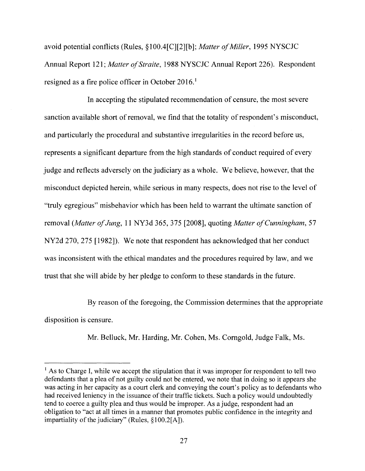avoid potential conflicts (Rules, § 100.4[C][2][b ]; *Matter of Miller,* 1995 NYSCJC Annual Report 121; *Matter of Straite*, 1988 NYSCJC Annual Report 226). Respondent resigned as a fire police officer in October 2016.<sup>1</sup>

In accepting the stipulated recommendation of censure, the most severe sanction available short of removal, we find that the totality of respondent's misconduct, and particularly the procedural and substantive irregularities in the record before us, represents a significant departure from the high standards of conduct required of every judge and reflects adversely on the judiciary as a whole. We believe, however, that the misconduct depicted herein, while serious in many respects, does not rise to the level of "truly egregious" misbehavior which has been held to warrant the ultimate sanction of removal *(Matter of Jung,* 11NY3d365, 375 [2008], quoting *Matter of Cunningham,* 57 NY2d 270, 275 [1982]). We note that respondent has acknowledged that her conduct was inconsistent with the ethical mandates and the procedures required by law, and we trust that she will abide by her pledge to conform to these standards in the future.

By reason of the foregoing, the Commission determines that the appropriate disposition is censure.

Mr. Belluck, Mr. Harding, Mr. Cohen, Ms. Corngold, Judge Falk, Ms.

 $<sup>1</sup>$  As to Charge I, while we accept the stipulation that it was improper for respondent to tell two</sup> defendants that a plea of not guilty could not be entered, we note that in doing so it appears she was acting in her capacity as a court clerk and conveying the court's policy as to defendants who had received leniency in the issuance of their traffic tickets. Such a policy would undoubtedly tend to coerce a guilty plea and thus would be improper. As a judge, respondent had an obligation to "act at all times in a manner that promotes public confidence in the integrity and impartiality of the judiciary" (Rules, §100.2[A]).